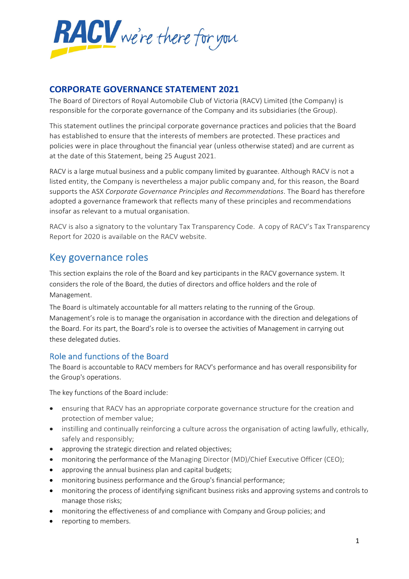

## **CORPORATE GOVERNANCE STATEMENT 2021**

The Board of Directors of Royal Automobile Club of Victoria (RACV) Limited (the Company) is responsible for the corporate governance of the Company and its subsidiaries (the Group).

This statement outlines the principal corporate governance practices and policies that the Board has established to ensure that the interests of members are protected. These practices and policies were in place throughout the financial year (unless otherwise stated) and are current as at the date of this Statement, being 25 August 2021.

RACV is a large mutual business and a public company limited by guarantee. Although RACV is not a listed entity, the Company is nevertheless a major public company and, for this reason, the Board supports the ASX *Corporate Governance Principles and Recommendations*. The Board has therefore adopted a governance framework that reflects many of these principles and recommendations insofar as relevant to a mutual organisation.

RACV is also a signatory to the voluntary Tax Transparency Code. A copy of RACV's Tax Transparency Report for 2020 is available on the RACV website.

## Key governance roles

This section explains the role of the Board and key participants in the RACV governance system. It considers the role of the Board, the duties of directors and office holders and the role of Management.

The Board is ultimately accountable for all matters relating to the running of the Group. Management's role is to manage the organisation in accordance with the direction and delegations of the Board. For its part, the Board's role is to oversee the activities of Management in carrying out these delegated duties.

## Role and functions of the Board

The Board is accountable to RACV members for RACV's performance and has overall responsibility for the Group's operations.

The key functions of the Board include:

- ensuring that RACV has an appropriate corporate governance structure for the creation and protection of member value;
- instilling and continually reinforcing a culture across the organisation of acting lawfully, ethically, safely and responsibly;
- approving the strategic direction and related objectives;
- monitoring the performance of the Managing Director (MD)/Chief Executive Officer (CEO);
- approving the annual business plan and capital budgets;
- monitoring business performance and the Group's financial performance;
- monitoring the process of identifying significant business risks and approving systems and controls to manage those risks;
- monitoring the effectiveness of and compliance with Company and Group policies; and
- reporting to members.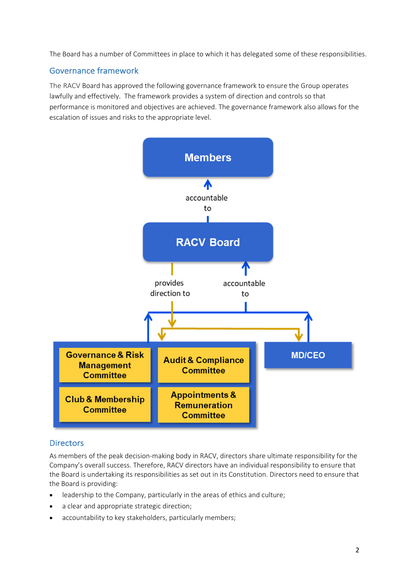The Board has a number of Committees in place to which it has delegated some of these responsibilities.

## Governance framework

The RACV Board has approved the following governance framework to ensure the Group operates lawfully and effectively. The framework provides a system of direction and controls so that performance is monitored and objectives are achieved. The governance framework also allows for the escalation of issues and risks to the appropriate level.



## **Directors**

As members of the peak decision-making body in RACV, directors share ultimate responsibility for the Company's overall success. Therefore, RACV directors have an individual responsibility to ensure that the Board is undertaking its responsibilities as set out in its Constitution. Directors need to ensure that the Board is providing:

- leadership to the Company, particularly in the areas of ethics and culture;
- a clear and appropriate strategic direction;
- accountability to key stakeholders, particularly members;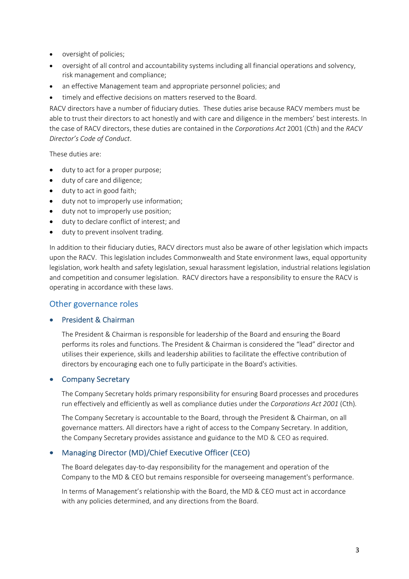- oversight of policies;
- oversight of all control and accountability systems including all financial operations and solvency, risk management and compliance;
- an effective Management team and appropriate personnel policies; and
- timely and effective decisions on matters reserved to the Board.

RACV directors have a number of fiduciary duties. These duties arise because RACV members must be able to trust their directors to act honestly and with care and diligence in the members' best interests. In the case of RACV directors, these duties are contained in the *Corporations Act* 2001 (Cth) and the *RACV Director's Code of Conduct*.

These duties are:

- duty to act for a proper purpose;
- duty of care and diligence;
- duty to act in good faith;
- duty not to improperly use information;
- duty not to improperly use position;
- duty to declare conflict of interest; and
- duty to prevent insolvent trading.

In addition to their fiduciary duties, RACV directors must also be aware of other legislation which impacts upon the RACV. This legislation includes Commonwealth and State environment laws, equal opportunity legislation, work health and safety legislation, sexual harassment legislation, industrial relations legislation and competition and consumer legislation. RACV directors have a responsibility to ensure the RACV is operating in accordance with these laws.

## Other governance roles

#### • President & Chairman

The President & Chairman is responsible for leadership of the Board and ensuring the Board performs its roles and functions. The President & Chairman is considered the "lead" director and utilises their experience, skills and leadership abilities to facilitate the effective contribution of directors by encouraging each one to fully participate in the Board's activities.

#### • Company Secretary

The Company Secretary holds primary responsibility for ensuring Board processes and procedures run effectively and efficiently as well as compliance duties under the *Corporations Act 2001* (Cth)*.*

The Company Secretary is accountable to the Board, through the President & Chairman, on all governance matters. All directors have a right of access to the Company Secretary. In addition, the Company Secretary provides assistance and guidance to the MD & CEO as required.

#### Managing Director (MD)/Chief Executive Officer (CEO)

The Board delegates day‐to‐day responsibility for the management and operation of the Company to the MD & CEO but remains responsible for overseeing management's performance.

In terms of Management's relationship with the Board, the MD & CEO must act in accordance with any policies determined, and any directions from the Board.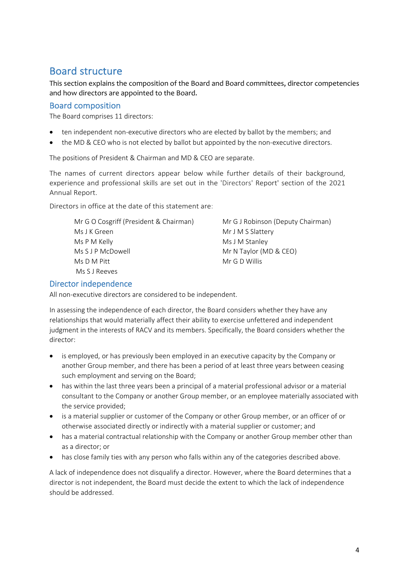## Board structure

This section explains the composition of the Board and Board committees, director competencies and how directors are appointed to the Board.

#### Board composition

The Board comprises 11 directors:

- ten independent non‐executive directors who are elected by ballot by the members; and
- the MD & CEO who is not elected by ballot but appointed by the non-executive directors.

The positions of President & Chairman and MD & CEO are separate.

The names of current directors appear below while further details of their background, experience and professional skills are set out in the 'Directors' Report' section of the 2021 Annual Report.

Directors in office at the date of this statement are:

| Mr G O Cosgriff (President & Chairman) |  |
|----------------------------------------|--|
| Ms J K Green                           |  |
| Ms P M Kelly                           |  |
| Ms S LP McDowell                       |  |
| Ms D M Pitt                            |  |
| Ms S J Reeves                          |  |

Mr G J Robinson (Deputy Chairman) Mr J M S Slattery Ms J M Stanley Mr N Taylor (MD & CEO)  $Mr G D$  Willis

### Director independence

All non‐executive directors are considered to be independent.

In assessing the independence of each director, the Board considers whether they have any relationships that would materially affect their ability to exercise unfettered and independent judgment in the interests of RACV and its members. Specifically, the Board considers whether the director:

- is employed, or has previously been employed in an executive capacity by the Company or another Group member, and there has been a period of at least three years between ceasing such employment and serving on the Board;
- has within the last three years been a principal of a material professional advisor or a material consultant to the Company or another Group member, or an employee materially associated with the service provided;
- is a material supplier or customer of the Company or other Group member, or an officer of or otherwise associated directly or indirectly with a material supplier or customer; and
- has a material contractual relationship with the Company or another Group member other than as a director; or
- has close family ties with any person who falls within any of the categories described above.

A lack of independence does not disqualify a director. However, where the Board determines that a director is not independent, the Board must decide the extent to which the lack of independence should be addressed.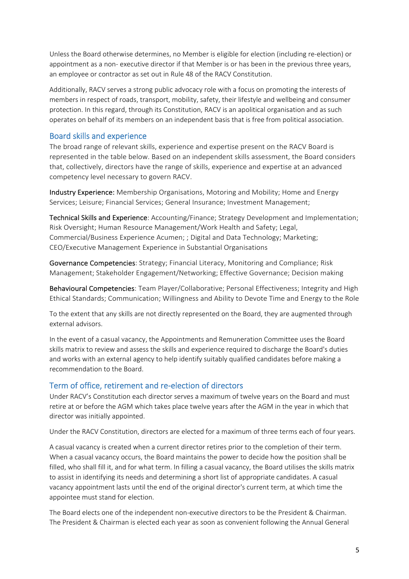Unless the Board otherwise determines, no Member is eligible for election (including re‐election) or appointment as a non- executive director if that Member is or has been in the previous three years, an employee or contractor as set out in Rule 48 of the RACV Constitution.

Additionally, RACV serves a strong public advocacy role with a focus on promoting the interests of members in respect of roads, transport, mobility, safety, their lifestyle and wellbeing and consumer protection. In this regard, through its Constitution, RACV is an apolitical organisation and as such operates on behalf of its members on an independent basis that is free from political association.

#### Board skills and experience

The broad range of relevant skills, experience and expertise present on the RACV Board is represented in the table below. Based on an independent skills assessment, the Board considers that, collectively, directors have the range of skills, experience and expertise at an advanced competency level necessary to govern RACV.

Industry Experience: Membership Organisations, Motoring and Mobility; Home and Energy Services; Leisure; Financial Services; General Insurance; Investment Management;

Technical Skills and Experience: Accounting/Finance; Strategy Development and Implementation; Risk Oversight; Human Resource Management/Work Health and Safety; Legal, Commercial/Business Experience Acumen; ; Digital and Data Technology; Marketing; CEO/Executive Management Experience in Substantial Organisations

Governance Competencies: Strategy; Financial Literacy, Monitoring and Compliance; Risk Management; Stakeholder Engagement/Networking; Effective Governance; Decision making

Behavioural Competencies: Team Player/Collaborative; Personal Effectiveness; Integrity and High Ethical Standards; Communication; Willingness and Ability to Devote Time and Energy to the Role

To the extent that any skills are not directly represented on the Board, they are augmented through external advisors.

In the event of a casual vacancy, the Appointments and Remuneration Committee uses the Board skills matrix to review and assess the skills and experience required to discharge the Board's duties and works with an external agency to help identify suitably qualified candidates before making a recommendation to the Board.

#### Term of office, retirement and re‐election of directors

Under RACV's Constitution each director serves a maximum of twelve years on the Board and must retire at or before the AGM which takes place twelve years after the AGM in the year in which that director was initially appointed.

Under the RACV Constitution, directors are elected for a maximum of three terms each of four years.

A casual vacancy is created when a current director retires prior to the completion of their term. When a casual vacancy occurs, the Board maintains the power to decide how the position shall be filled, who shall fill it, and for what term. In filling a casual vacancy, the Board utilises the skills matrix to assist in identifying its needs and determining a short list of appropriate candidates. A casual vacancy appointment lasts until the end of the original director's current term, at which time the appointee must stand for election.

The Board elects one of the independent non‐executive directors to be the President & Chairman. The President & Chairman is elected each year as soon as convenient following the Annual General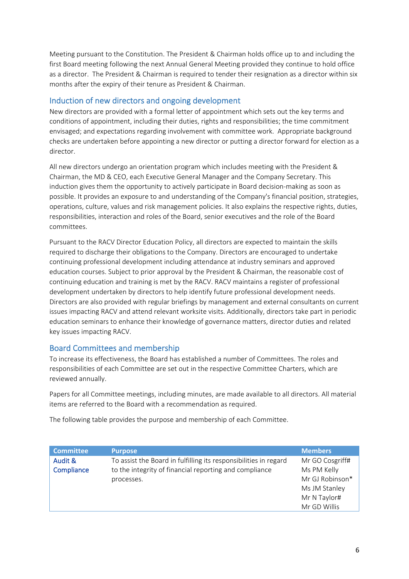Meeting pursuant to the Constitution. The President & Chairman holds office up to and including the first Board meeting following the next Annual General Meeting provided they continue to hold office as a director. The President & Chairman is required to tender their resignation as a director within six months after the expiry of their tenure as President & Chairman.

#### Induction of new directors and ongoing development

New directors are provided with a formal letter of appointment which sets out the key terms and conditions of appointment, including their duties, rights and responsibilities; the time commitment envisaged; and expectations regarding involvement with committee work. Appropriate background checks are undertaken before appointing a new director or putting a director forward for election as a director.

All new directors undergo an orientation program which includes meeting with the President & Chairman, the MD & CEO, each Executive General Manager and the Company Secretary. This induction gives them the opportunity to actively participate in Board decision-making as soon as possible. It provides an exposure to and understanding of the Company's financial position, strategies, operations, culture, values and risk management policies. It also explains the respective rights, duties, responsibilities, interaction and roles of the Board, senior executives and the role of the Board committees.

Pursuant to the RACV Director Education Policy, all directors are expected to maintain the skills required to discharge their obligations to the Company. Directors are encouraged to undertake continuing professional development including attendance at industry seminars and approved education courses. Subject to prior approval by the President & Chairman, the reasonable cost of continuing education and training is met by the RACV. RACV maintains a register of professional development undertaken by directors to help identify future professional development needs. Directors are also provided with regular briefings by management and external consultants on current issues impacting RACV and attend relevant worksite visits. Additionally, directors take part in periodic education seminars to enhance their knowledge of governance matters, director duties and related key issues impacting RACV.

#### Board Committees and membership

To increase its effectiveness, the Board has established a number of Committees. The roles and responsibilities of each Committee are set out in the respective Committee Charters, which are reviewed annually.

Papers for all Committee meetings, including minutes, are made available to all directors. All material items are referred to the Board with a recommendation as required.

The following table provides the purpose and membership of each Committee.

| <b>Committee</b>      | <b>Purpose</b>                                                                                                                           | <b>Members</b>                                                                                     |
|-----------------------|------------------------------------------------------------------------------------------------------------------------------------------|----------------------------------------------------------------------------------------------------|
| Audit &<br>Compliance | To assist the Board in fulfilling its responsibilities in regard<br>to the integrity of financial reporting and compliance<br>processes. | Mr GO Cosgriff#<br>Ms PM Kelly<br>Mr GJ Robinson*<br>Ms JM Stanley<br>Mr N Taylor#<br>Mr GD Willis |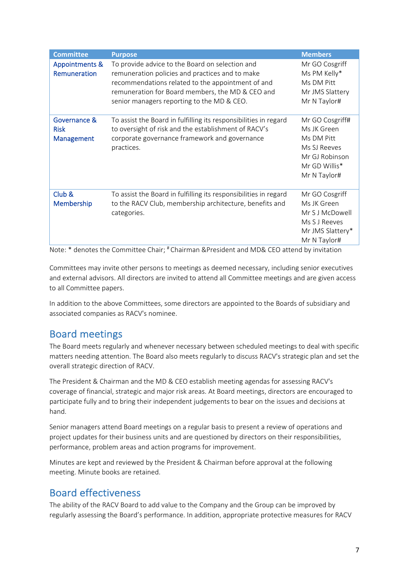| <b>Committee</b>                                                                             | <b>Purpose</b>                                                                                                                                                                                                                                            | <b>Members</b>                                                                                                  |  |  |
|----------------------------------------------------------------------------------------------|-----------------------------------------------------------------------------------------------------------------------------------------------------------------------------------------------------------------------------------------------------------|-----------------------------------------------------------------------------------------------------------------|--|--|
| <b>Appointments &amp;</b><br>Remuneration                                                    | To provide advice to the Board on selection and<br>remuneration policies and practices and to make<br>recommendations related to the appointment of and<br>remuneration for Board members, the MD & CEO and<br>senior managers reporting to the MD & CEO. | Mr GO Cosgriff<br>Ms PM Kelly*<br>Ms DM Pitt<br>Mr JMS Slattery<br>Mr N Taylor#                                 |  |  |
| Governance &<br><b>Risk</b><br>Management                                                    | To assist the Board in fulfilling its responsibilities in regard<br>to oversight of risk and the establishment of RACV's<br>corporate governance framework and governance<br>practices.                                                                   | Mr GO Cosgriff#<br>Ms JK Green<br>Ms DM Pitt<br>Ms SJ Reeves<br>Mr GJ Robinson<br>Mr GD Willis*<br>Mr N Taylor# |  |  |
| Club &<br>Membership                                                                         | To assist the Board in fulfilling its responsibilities in regard<br>to the RACV Club, membership architecture, benefits and<br>categories.                                                                                                                | Mr GO Cosgriff<br>Ms JK Green<br>Mr S J McDowell<br>Ms S J Reeves<br>Mr JMS Slattery*<br>Mr N Taylor#           |  |  |
| Note: * denotes the Committee Chair; # Chairman & President and MD& CEO attend by invitation |                                                                                                                                                                                                                                                           |                                                                                                                 |  |  |

Committees may invite other persons to meetings as deemed necessary, including senior executives and external advisors. All directors are invited to attend all Committee meetings and are given access to all Committee papers.

In addition to the above Committees, some directors are appointed to the Boards of subsidiary and associated companies as RACV's nominee.

## Board meetings

The Board meets regularly and whenever necessary between scheduled meetings to deal with specific matters needing attention. The Board also meets regularly to discuss RACV's strategic plan and set the overall strategic direction of RACV.

The President & Chairman and the MD & CEO establish meeting agendas for assessing RACV's coverage of financial, strategic and major risk areas. At Board meetings, directors are encouraged to participate fully and to bring their independent judgements to bear on the issues and decisions at hand.

Senior managers attend Board meetings on a regular basis to present a review of operations and project updates for their business units and are questioned by directors on their responsibilities, performance, problem areas and action programs for improvement.

Minutes are kept and reviewed by the President & Chairman before approval at the following meeting. Minute books are retained.

## Board effectiveness

The ability of the RACV Board to add value to the Company and the Group can be improved by regularly assessing the Board's performance. In addition, appropriate protective measures for RACV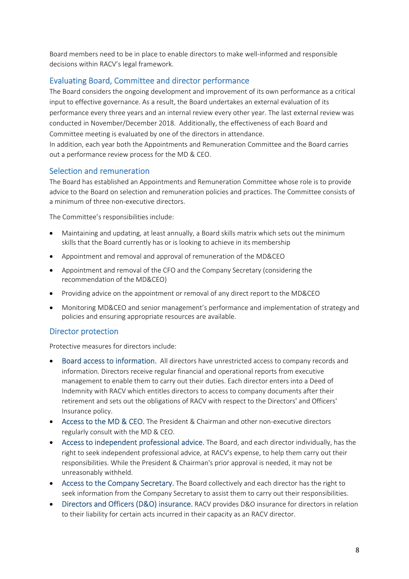Board members need to be in place to enable directors to make well‐informed and responsible decisions within RACV's legal framework.

#### Evaluating Board, Committee and director performance

The Board considers the ongoing development and improvement of its own performance as a critical input to effective governance. As a result, the Board undertakes an external evaluation of its performance every three years and an internal review every other year. The last external review was conducted in November/December 2018. Additionally, the effectiveness of each Board and Committee meeting is evaluated by one of the directors in attendance.

In addition, each year both the Appointments and Remuneration Committee and the Board carries out a performance review process for the MD & CEO.

#### Selection and remuneration

The Board has established an Appointments and Remuneration Committee whose role is to provide advice to the Board on selection and remuneration policies and practices. The Committee consists of a minimum of three non-executive directors.

The Committee's responsibilities include:

- Maintaining and updating, at least annually, a Board skills matrix which sets out the minimum skills that the Board currently has or is looking to achieve in its membership
- Appointment and removal and approval of remuneration of the MD&CEO
- Appointment and removal of the CFO and the Company Secretary (considering the recommendation of the MD&CEO)
- Providing advice on the appointment or removal of any direct report to the MD&CEO
- Monitoring MD&CEO and senior management's performance and implementation of strategy and policies and ensuring appropriate resources are available.

#### Director protection

Protective measures for directors include:

- Board access to information. All directors have unrestricted access to company records and information. Directors receive regular financial and operational reports from executive management to enable them to carry out their duties. Each director enters into a Deed of Indemnity with RACV which entitles directors to access to company documents after their retirement and sets out the obligations of RACV with respect to the Directors' and Officers' Insurance policy.
- Access to the MD & CEO. The President & Chairman and other non-executive directors regularly consult with the MD & CEO.
- Access to independent professional advice. The Board, and each director individually, has the right to seek independent professional advice, at RACV's expense, to help them carry out their responsibilities. While the President & Chairman's prior approval is needed, it may not be unreasonably withheld.
- Access to the Company Secretary. The Board collectively and each director has the right to seek information from the Company Secretary to assist them to carry out their responsibilities.
- Directors and Officers (D&O) insurance. RACV provides D&O insurance for directors in relation to their liability for certain acts incurred in their capacity as an RACV director.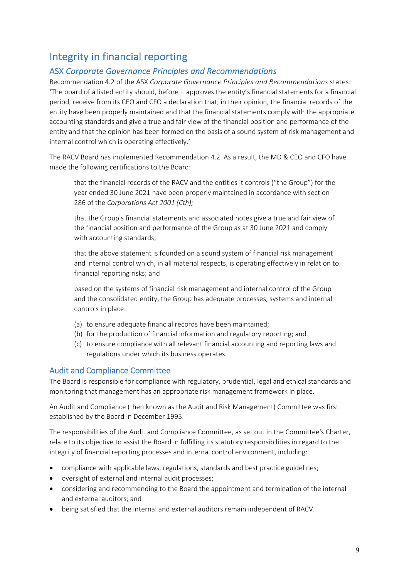# Integrity in financial reporting

## ASX *Corporate Governance Principles and Recommendations*

Recommendation 4.2 of the ASX *Corporate Governance Principles and Recommendations* states: 'The board of a listed entity should, before it approves the entity's financial statements for a financial period, receive from its CEO and CFO a declaration that, in their opinion, the financial records of the entity have been properly maintained and that the financial statements comply with the appropriate accounting standards and give a true and fair view of the financial position and performance of the entity and that the opinion has been formed on the basis of a sound system of risk management and internal control which is operating effectively.'

The RACV Board has implemented Recommendation 4.2. As a result, the MD & CEO and CFO have made the following certifications to the Board:

that the financial records of the RACV and the entities it controls ("the Group") for the year ended 30 June 2021 have been properly maintained in accordance with section 286 of the *Corporations Act 2001 (Cth);*

that the Group's financial statements and associated notes give a true and fair view of the financial position and performance of the Group as at 30 June 2021 and comply with accounting standards;

that the above statement is founded on a sound system of financial risk management and internal control which, in all material respects, is operating effectively in relation to financial reporting risks; and

based on the systems of financial risk management and internal control of the Group and the consolidated entity, the Group has adequate processes, systems and internal controls in place:

- (a) to ensure adequate financial records have been maintained;
- (b) for the production of financial information and regulatory reporting; and
- (c) to ensure compliance with all relevant financial accounting and reporting laws and regulations under which its business operates.

#### Audit and Compliance Committee

The Board is responsible for compliance with regulatory, prudential, legal and ethical standards and monitoring that management has an appropriate risk management framework in place.

An Audit and Compliance (then known as the Audit and Risk Management) Committee was first established by the Board in December 1995.

The responsibilities of the Audit and Compliance Committee, as set out in the Committee's Charter, relate to its objective to assist the Board in fulfilling its statutory responsibilities in regard to the integrity of financial reporting processes and internal control environment, including:

- compliance with applicable laws, regulations, standards and best practice guidelines;
- oversight of external and internal audit processes;
- considering and recommending to the Board the appointment and termination of the internal and external auditors; and
- being satisfied that the internal and external auditors remain independent of RACV.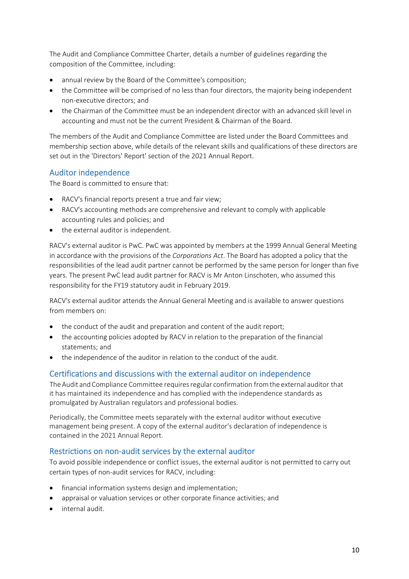The Audit and Compliance Committee Charter, details a number of guidelines regarding the composition of the Committee, including:

- annual review by the Board of the Committee's composition;
- the Committee will be comprised of no less than four directors, the majority being independent non‐executive directors; and
- the Chairman of the Committee must be an independent director with an advanced skill level in accounting and must not be the current President & Chairman of the Board.

The members of the Audit and Compliance Committee are listed under the Board Committees and membership section above, while details of the relevant skills and qualifications of these directors are set out in the 'Directors' Report' section of the 2021 Annual Report.

## Auditor independence

The Board is committed to ensure that:

- RACV's financial reports present a true and fair view;
- RACV's accounting methods are comprehensive and relevant to comply with applicable accounting rules and policies; and
- the external auditor is independent.

RACV's external auditor is PwC. PwC was appointed by members at the 1999 Annual General Meeting in accordance with the provisions of the *Corporations Act*. The Board has adopted a policy that the responsibilities of the lead audit partner cannot be performed by the same person for longer than five years. The present PwC lead audit partner for RACV is Mr Anton Linschoten, who assumed this responsibility for the FY19 statutory audit in February 2019.

RACV's external auditor attends the Annual General Meeting and is available to answer questions from members on:

- the conduct of the audit and preparation and content of the audit report;
- the accounting policies adopted by RACV in relation to the preparation of the financial statements; and
- the independence of the auditor in relation to the conduct of the audit.

#### Certifications and discussions with the external auditor on independence

The Audit and Compliance Committee requires regular confirmation from the external auditor that it has maintained its independence and has complied with the independence standards as promulgated by Australian regulators and professional bodies.

Periodically, the Committee meets separately with the external auditor without executive management being present. A copy of the external auditor's declaration of independence is contained in the 2021 Annual Report.

## Restrictions on non‐audit services by the external auditor

To avoid possible independence or conflict issues, the external auditor is not permitted to carry out certain types of non‐audit services for RACV, including:

- financial information systems design and implementation;
- appraisal or valuation services or other corporate finance activities; and
- internal audit.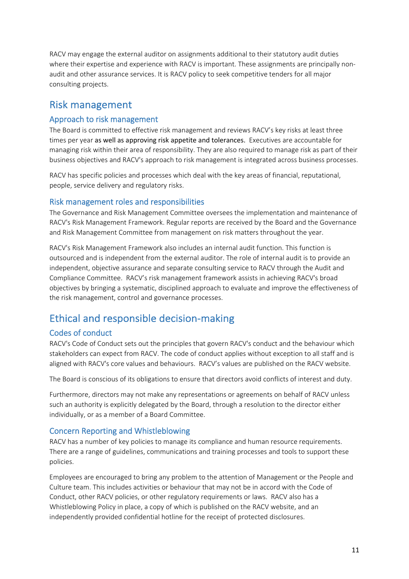RACV may engage the external auditor on assignments additional to their statutory audit duties where their expertise and experience with RACV is important. These assignments are principally nonaudit and other assurance services. It is RACV policy to seek competitive tenders for all major consulting projects.

## Risk management

## Approach to risk management

The Board is committed to effective risk management and reviews RACV's key risks at least three times per year as well as approving risk appetite and tolerances. Executives are accountable for managing risk within their area of responsibility. They are also required to manage risk as part of their business objectives and RACV's approach to risk management is integrated across business processes.

RACV has specific policies and processes which deal with the key areas of financial, reputational, people, service delivery and regulatory risks.

### Risk management roles and responsibilities

The Governance and Risk Management Committee oversees the implementation and maintenance of RACV's Risk Management Framework. Regular reports are received by the Board and the Governance and Risk Management Committee from management on risk matters throughout the year.

RACV's Risk Management Framework also includes an internal audit function. This function is outsourced and is independent from the external auditor. The role of internal audit is to provide an independent, objective assurance and separate consulting service to RACV through the Audit and Compliance Committee. RACV's risk management framework assists in achieving RACV's broad objectives by bringing a systematic, disciplined approach to evaluate and improve the effectiveness of the risk management, control and governance processes.

# Ethical and responsible decision‐making

## Codes of conduct

RACV's Code of Conduct sets out the principles that govern RACV's conduct and the behaviour which stakeholders can expect from RACV. The code of conduct applies without exception to all staff and is aligned with RACV's core values and behaviours. RACV's values are published on the RACV website.

The Board is conscious of its obligations to ensure that directors avoid conflicts of interest and duty.

Furthermore, directors may not make any representations or agreements on behalf of RACV unless such an authority is explicitly delegated by the Board, through a resolution to the director either individually, or as a member of a Board Committee.

## Concern Reporting and Whistleblowing

RACV has a number of key policies to manage its compliance and human resource requirements. There are a range of guidelines, communications and training processes and tools to support these policies.

Employees are encouraged to bring any problem to the attention of Management or the People and Culture team. This includes activities or behaviour that may not be in accord with the Code of Conduct, other RACV policies, or other regulatory requirements or laws. RACV also has a Whistleblowing Policy in place, a copy of which is published on the RACV website, and an independently provided confidential hotline for the receipt of protected disclosures.